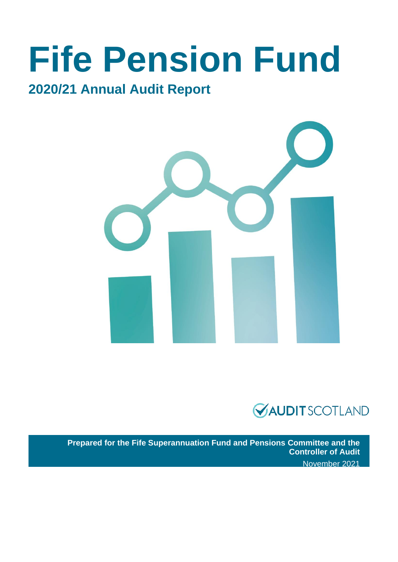# **Fife Pension Fund**

### **2020/21 Annual Audit Report**





**Prepared for the Fife Superannuation Fund and Pensions Committee and the Controller of Audit** November 2021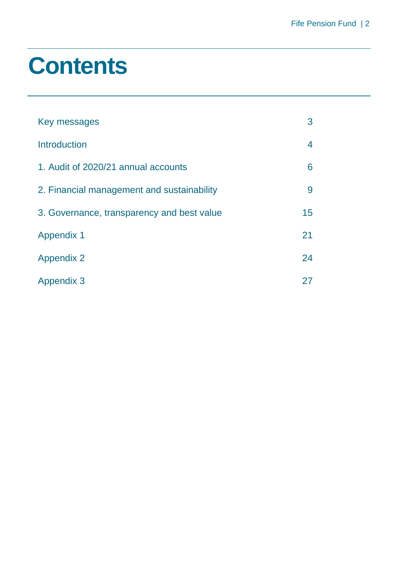### **Contents**

| Key messages                               | 3  |
|--------------------------------------------|----|
| <b>Introduction</b>                        | 4  |
| 1. Audit of 2020/21 annual accounts        | 6  |
| 2. Financial management and sustainability | 9  |
| 3. Governance, transparency and best value | 15 |
| <b>Appendix 1</b>                          | 21 |
| <b>Appendix 2</b>                          | 24 |
| <b>Appendix 3</b>                          | 27 |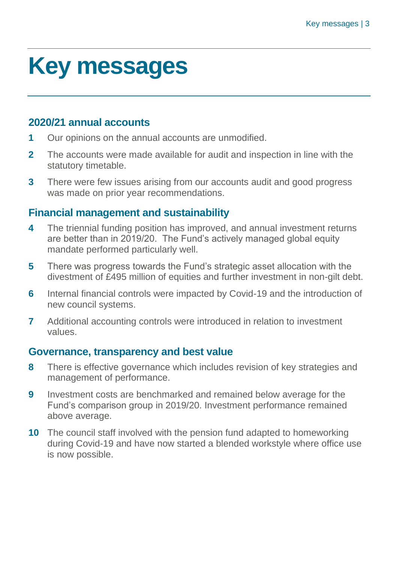### <span id="page-2-0"></span>**Key messages**

#### **2020/21 annual accounts**

- **1** Our opinions on the annual accounts are unmodified.
- **2** The accounts were made available for audit and inspection in line with the statutory timetable.
- **3** There were few issues arising from our accounts audit and good progress was made on prior year recommendations.

#### **Financial management and sustainability**

- **4** The triennial funding position has improved, and annual investment returns are better than in 2019/20. The Fund's actively managed global equity mandate performed particularly well.
- **5** There was progress towards the Fund's strategic asset allocation with the divestment of £495 million of equities and further investment in non-gilt debt.
- **6** Internal financial controls were impacted by Covid-19 and the introduction of new council systems.
- **7** Additional accounting controls were introduced in relation to investment values.

#### **Governance, transparency and best value**

- **8** There is effective governance which includes revision of key strategies and management of performance.
- **9** Investment costs are benchmarked and remained below average for the Fund's comparison group in 2019/20. Investment performance remained above average.
- **10** The council staff involved with the pension fund adapted to homeworking during Covid-19 and have now started a blended workstyle where office use is now possible.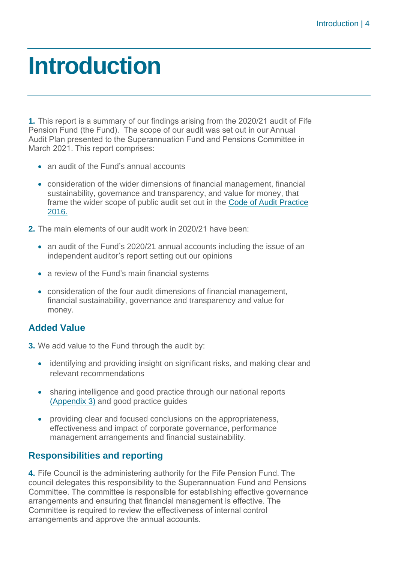### <span id="page-3-0"></span>**Introduction**

**1.** This report is a summary of our findings arising from the 2020/21 audit of Fife Pension Fund (the Fund). The scope of our audit was set out in our Annual Audit Plan presented to the Superannuation Fund and Pensions Committee in March 2021. This report comprises:

- an audit of the Fund's annual accounts
- consideration of the wider dimensions of financial management, financial sustainability, governance and transparency, and value for money, that frame the wider scope of public audit set out in the [Code of Audit Practice](http://www.audit-scotland.gov.uk/report/code-of-audit-practice-2016)  [2016.](http://www.audit-scotland.gov.uk/report/code-of-audit-practice-2016)
- **2.** The main elements of our audit work in 2020/21 have been:
	- an audit of the Fund's 2020/21 annual accounts including the issue of an independent auditor's report setting out our opinions
	- a review of the Fund's main financial systems
	- consideration of the four audit dimensions of financial management, financial sustainability, governance and transparency and value for money.

#### **Added Value**

**3.** We add value to the Fund through the audit by:

- identifying and providing insight on significant risks, and making clear and relevant recommendations
- sharing intelligence and good practice through our national reports [\(Appendix 3\)](#page-26-0) and good practice guides
- providing clear and focused conclusions on the appropriateness, effectiveness and impact of corporate governance, performance management arrangements and financial sustainability.

#### **Responsibilities and reporting**

**4.** Fife Council is the administering authority for the Fife Pension Fund. The council delegates this responsibility to the Superannuation Fund and Pensions Committee. The committee is responsible for establishing effective governance arrangements and ensuring that financial management is effective. The Committee is required to review the effectiveness of internal control arrangements and approve the annual accounts.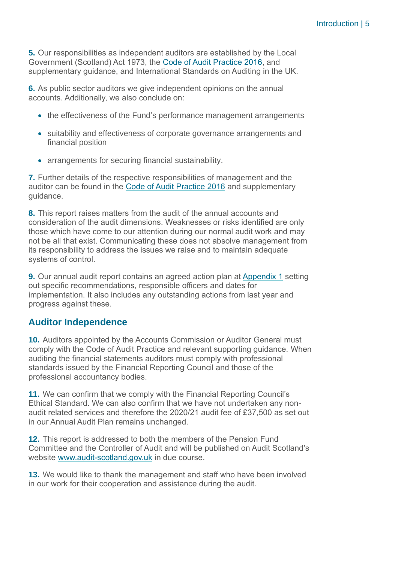**5.** Our responsibilities as independent auditors are established by the Local Government (Scotland) Act 1973, the [Code of Audit Practice 2016,](http://www.audit-scotland.gov.uk/uploads/docs/report/2016/code_audit_practice_16.pdf) and supplementary guidance, and International Standards on Auditing in the UK.

**6.** As public sector auditors we give independent opinions on the annual accounts. Additionally, we also conclude on:

- the effectiveness of the Fund's performance management arrangements
- suitability and effectiveness of corporate governance arrangements and financial position
- arrangements for securing financial sustainability.

**7.** Further details of the respective responsibilities of management and the auditor can be found in the [Code of Audit Practice 2016](http://www.audit-scotland.gov.uk/uploads/docs/report/2016/code_audit_practice_16.pdf) and supplementary guidance.

**8.** This report raises matters from the audit of the annual accounts and consideration of the audit dimensions. Weaknesses or risks identified are only those which have come to our attention during our normal audit work and may not be all that exist. Communicating these does not absolve management from its responsibility to address the issues we raise and to maintain adequate systems of control.

**9.** Our annual audit report contains an agreed action plan at [Appendix 1](#page-20-0) setting out specific recommendations, responsible officers and dates for implementation. It also includes any outstanding actions from last year and progress against these.

#### **Auditor Independence**

**10.** Auditors appointed by the Accounts Commission or Auditor General must comply with the Code of Audit Practice and relevant supporting guidance. When auditing the financial statements auditors must comply with professional standards issued by the Financial Reporting Council and those of the professional accountancy bodies.

**11.** We can confirm that we comply with the Financial Reporting Council's Ethical Standard. We can also confirm that we have not undertaken any nonaudit related services and therefore the 2020/21 audit fee of £37,500 as set out in our Annual Audit Plan remains unchanged.

**12.** This report is addressed to both the members of the Pension Fund Committee and the Controller of Audit and will be published on Audit Scotland's website [www.audit-scotland.gov.uk](http://www.audit-scotland.gov.uk/) in due course.

**13.** We would like to thank the management and staff who have been involved in our work for their cooperation and assistance during the audit.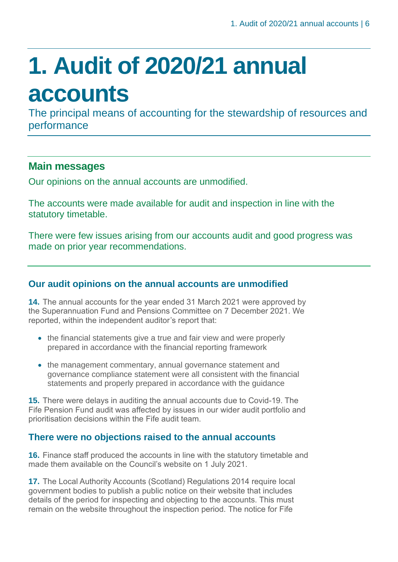# <span id="page-5-0"></span>**1. Audit of 2020/21 annual accounts**

The principal means of accounting for the stewardship of resources and performance

#### **Main messages**

Our opinions on the annual accounts are unmodified.

The accounts were made available for audit and inspection in line with the statutory timetable.

There were few issues arising from our accounts audit and good progress was made on prior year recommendations.

#### **Our audit opinions on the annual accounts are unmodified**

**14.** The annual accounts for the year ended 31 March 2021 were approved by the Superannuation Fund and Pensions Committee on 7 December 2021. We reported, within the independent auditor's report that:

- the financial statements give a true and fair view and were properly prepared in accordance with the financial reporting framework
- the management commentary, annual governance statement and governance compliance statement were all consistent with the financial statements and properly prepared in accordance with the guidance

**15.** There were delays in auditing the annual accounts due to Covid-19. The Fife Pension Fund audit was affected by issues in our wider audit portfolio and prioritisation decisions within the Fife audit team.

#### **There were no objections raised to the annual accounts**

**16.** Finance staff produced the accounts in line with the statutory timetable and made them available on the Council's website on 1 July 2021.

**17.** The Local Authority Accounts (Scotland) Regulations 2014 require local government bodies to publish a public notice on their website that includes details of the period for inspecting and objecting to the accounts. This must remain on the website throughout the inspection period. The notice for Fife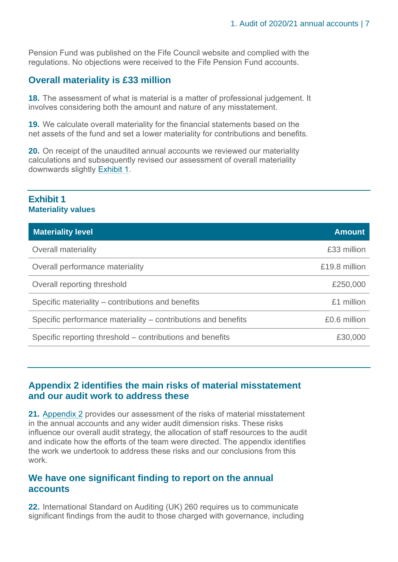Pension Fund was published on the Fife Council website and complied with the regulations. No objections were received to the Fife Pension Fund accounts.

#### **Overall materiality is £33 million**

**18.** The assessment of what is material is a matter of professional judgement. It involves considering both the amount and nature of any misstatement.

**19.** We calculate overall materiality for the financial statements based on the net assets of the fund and set a lower materiality for contributions and benefits.

**20.** On receipt of the unaudited annual accounts we reviewed our materiality calculations and subsequently revised our assessment of overall materiality downwards slightly [Exhibit 1.](#page-6-0)

#### <span id="page-6-0"></span>**Exhibit 1 Materiality values**

| <b>Materiality level</b>                                      | <b>Amount</b> |
|---------------------------------------------------------------|---------------|
| <b>Overall materiality</b>                                    | £33 million   |
| Overall performance materiality                               | £19.8 million |
| Overall reporting threshold                                   | £250,000      |
| Specific materiality – contributions and benefits             | £1 million    |
| Specific performance materiality – contributions and benefits | £0.6 million  |
| Specific reporting threshold – contributions and benefits     | £30,000       |

#### **Appendix 2 identifies the main risks of material misstatement and our audit work to address these**

**21.** [Appendix 2](#page-23-0) provides our assessment of the risks of material misstatement in the annual accounts and any wider audit dimension risks. These risks influence our overall audit strategy, the allocation of staff resources to the audit and indicate how the efforts of the team were directed. The appendix identifies the work we undertook to address these risks and our conclusions from this work.

#### **We have one significant finding to report on the annual accounts**

**22.** International Standard on Auditing (UK) 260 requires us to communicate significant findings from the audit to those charged with governance, including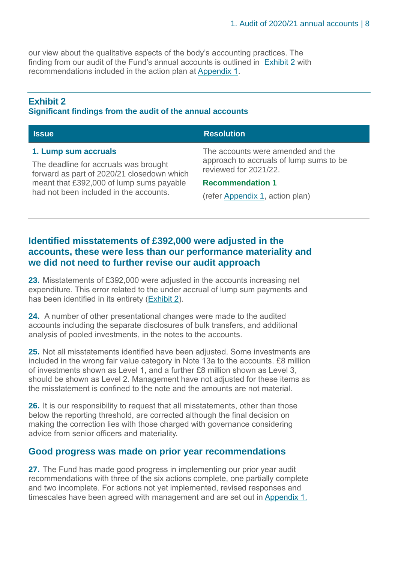our view about the qualitative aspects of the body's accounting practices. The finding from our audit of the Fund's annual accounts is outlined in [Exhibit 2](#page-7-0) with recommendations included in the action plan at [Appendix 1.](#page-20-0)

#### <span id="page-7-0"></span>**Exhibit 2 Significant findings from the audit of the annual accounts**

| <b>Issue</b>                                                                                                                                            | <b>Resolution</b>                                                                                                                |
|---------------------------------------------------------------------------------------------------------------------------------------------------------|----------------------------------------------------------------------------------------------------------------------------------|
| 1. Lump sum accruals<br>The deadline for accruals was brought<br>forward as part of 2020/21 closedown which<br>meant that £392,000 of lump sums payable | The accounts were amended and the<br>approach to accruals of lump sums to be<br>reviewed for 2021/22.<br><b>Recommendation 1</b> |
| had not been included in the accounts.                                                                                                                  | (refer Appendix 1, action plan)                                                                                                  |

#### **Identified misstatements of £392,000 were adjusted in the accounts, these were less than our performance materiality and we did not need to further revise our audit approach**

**23.** Misstatements of £392,000 were adjusted in the accounts increasing net expenditure. This error related to the under accrual of lump sum payments and has been identified in its entirety (Exhibit 2).

**24.** A number of other presentational changes were made to the audited accounts including the separate disclosures of bulk transfers, and additional analysis of pooled investments, in the notes to the accounts.

**25.** Not all misstatements identified have been adjusted. Some investments are included in the wrong fair value category in Note 13a to the accounts. £8 million of investments shown as Level 1, and a further £8 million shown as Level 3, should be shown as Level 2. Management have not adjusted for these items as the misstatement is confined to the note and the amounts are not material.

**26.** It is our responsibility to request that all misstatements, other than those below the reporting threshold, are corrected although the final decision on making the correction lies with those charged with governance considering advice from senior officers and materiality.

#### **Good progress was made on prior year recommendations**

**27.** The Fund has made good progress in implementing our prior year audit recommendations with three of the six actions complete, one partially complete and two incomplete. For actions not yet implemented, revised responses and timescales have been agreed with management and are set out in [Appendix 1.](#page-20-0)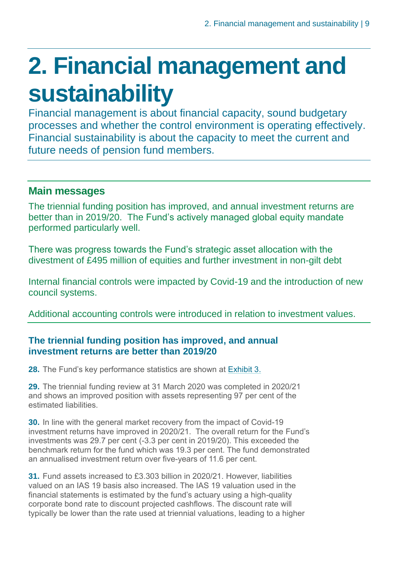## <span id="page-8-0"></span>**2. Financial management and sustainability**

Financial management is about financial capacity, sound budgetary processes and whether the control environment is operating effectively. Financial sustainability is about the capacity to meet the current and future needs of pension fund members.

### **Main messages**

The triennial funding position has improved, and annual investment returns are better than in 2019/20. The Fund's actively managed global equity mandate performed particularly well.

There was progress towards the Fund's strategic asset allocation with the divestment of £495 million of equities and further investment in non-gilt debt

Internal financial controls were impacted by Covid-19 and the introduction of new council systems.

Additional accounting controls were introduced in relation to investment values.

#### **The triennial funding position has improved, and annual investment returns are better than 2019/20**

**28.** The Fund's key performance statistics are shown at [Exhibit 3.](#page-9-0)

**29.** The triennial funding review at 31 March 2020 was completed in 2020/21 and shows an improved position with assets representing 97 per cent of the estimated liabilities.

**30.** In line with the general market recovery from the impact of Covid-19 investment returns have improved in 2020/21. The overall return for the Fund's investments was 29.7 per cent (-3.3 per cent in 2019/20). This exceeded the benchmark return for the fund which was 19.3 per cent. The fund demonstrated an annualised investment return over five-years of 11.6 per cent.

**31.** Fund assets increased to £3.303 billion in 2020/21. However, liabilities valued on an IAS 19 basis also increased. The IAS 19 valuation used in the financial statements is estimated by the fund's actuary using a high-quality corporate bond rate to discount projected cashflows. The discount rate will typically be lower than the rate used at triennial valuations, leading to a higher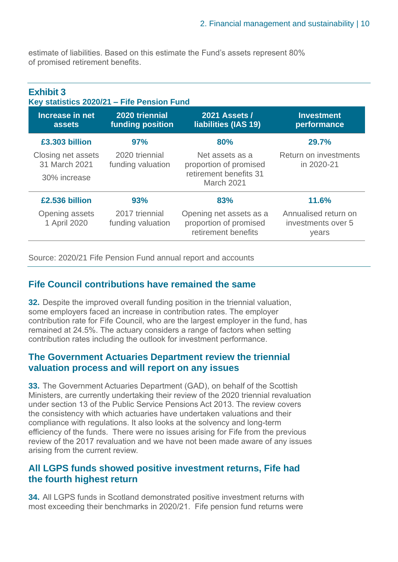estimate of liabilities. Based on this estimate the Fund's assets represent 80% of promised retirement benefits.

<span id="page-9-0"></span>

| <b>Exhibit 3</b><br>Key statistics 2020/21 - Fife Pension Fund |                                     |                                                                          |                                                     |
|----------------------------------------------------------------|-------------------------------------|--------------------------------------------------------------------------|-----------------------------------------------------|
| Increase in net<br>assets                                      | 2020 triennial<br>funding position  | <b>2021 Assets /</b><br>liabilities (IAS 19)                             | <b>Investment</b><br>performance                    |
| £3.303 billion                                                 | 97%                                 | 80%                                                                      | 29.7%                                               |
| Closing net assets<br>31 March 2021                            | 2020 triennial<br>funding valuation | Net assets as a<br>proportion of promised                                | Return on investments<br>in 2020-21                 |
| 30% increase                                                   |                                     | retirement benefits 31<br>March 2021                                     |                                                     |
| £2,536 billion                                                 | 93%                                 | 83%                                                                      | 11.6%                                               |
| Opening assets<br>1 April 2020                                 | 2017 triennial<br>funding valuation | Opening net assets as a<br>proportion of promised<br>retirement benefits | Annualised return on<br>investments over 5<br>years |

Source: 2020/21 Fife Pension Fund annual report and accounts

#### **Fife Council contributions have remained the same**

**32.** Despite the improved overall funding position in the triennial valuation, some employers faced an increase in contribution rates. The employer contribution rate for Fife Council, who are the largest employer in the fund, has remained at 24.5%. The actuary considers a range of factors when setting contribution rates including the outlook for investment performance.

#### **The Government Actuaries Department review the triennial valuation process and will report on any issues**

**33.** The Government Actuaries Department (GAD), on behalf of the Scottish Ministers, are currently undertaking their review of the 2020 triennial revaluation under section 13 of the Public Service Pensions Act 2013. The review covers the consistency with which actuaries have undertaken valuations and their compliance with regulations. It also looks at the solvency and long-term efficiency of the funds. There were no issues arising for Fife from the previous review of the 2017 revaluation and we have not been made aware of any issues arising from the current review.

#### **All LGPS funds showed positive investment returns, Fife had the fourth highest return**

**34.** All LGPS funds in Scotland demonstrated positive investment returns with most exceeding their benchmarks in 2020/21. Fife pension fund returns were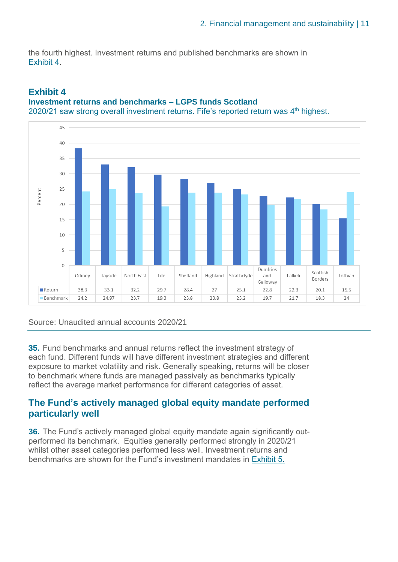the fourth highest. Investment returns and published benchmarks are shown in Exhibit 4.



#### **Exhibit 4 Investment returns and benchmarks – LGPS funds Scotland**

Source: Unaudited annual accounts 2020/21

**35.** Fund benchmarks and annual returns reflect the investment strategy of each fund. Different funds will have different investment strategies and different exposure to market volatility and risk. Generally speaking, returns will be closer to benchmark where funds are managed passively as benchmarks typically reflect the average market performance for different categories of asset.

#### **The Fund's actively managed global equity mandate performed particularly well**

**36.** The Fund's actively managed global equity mandate again significantly outperformed its benchmark. Equities generally performed strongly in 2020/21 whilst other asset categories performed less well. Investment returns and benchmarks are shown for the Fund's investment mandates in Exhibit 5.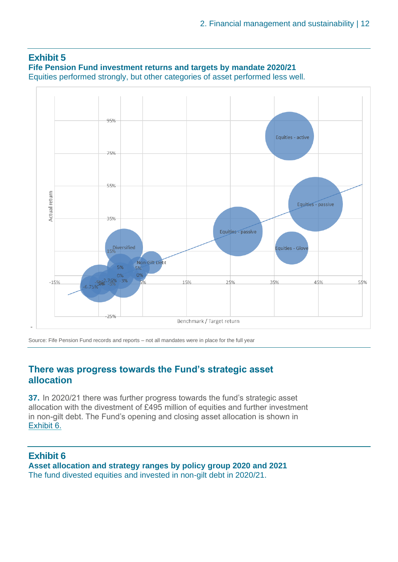

Source: Fife Pension Fund records and reports – not all mandates were in place for the full year

#### **There was progress towards the Fund's strategic asset allocation**

**37.** In 2020/21 there was further progress towards the fund's strategic asset allocation with the divestment of £495 million of equities and further investment in non-gilt debt. The Fund's opening and closing asset allocation is shown in Exhibit 6.

**Exhibit 6 Asset allocation and strategy ranges by policy group 2020 and 2021** The fund divested equities and invested in non-gilt debt in 2020/21.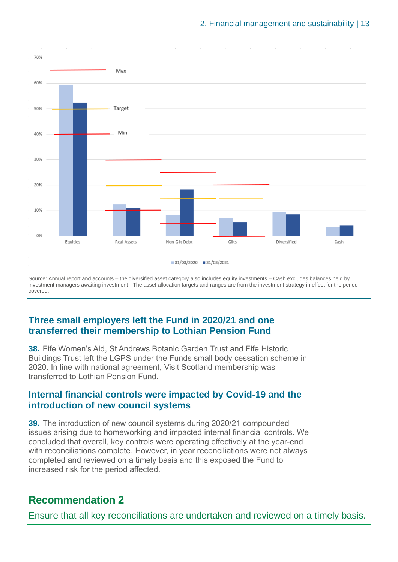

Source: Annual report and accounts – the diversified asset category also includes equity investments – Cash excludes balances held by investment managers awaiting investment - The asset allocation targets and ranges are from the investment strategy in effect for the period covered.

#### **Three small employers left the Fund in 2020/21 and one transferred their membership to Lothian Pension Fund**

**38.** Fife Women's Aid, St Andrews Botanic Garden Trust and Fife Historic Buildings Trust left the LGPS under the Funds small body cessation scheme in 2020. In line with national agreement, Visit Scotland membership was transferred to Lothian Pension Fund.

#### **Internal financial controls were impacted by Covid-19 and the introduction of new council systems**

**39.** The introduction of new council systems during 2020/21 compounded issues arising due to homeworking and impacted internal financial controls. We concluded that overall, key controls were operating effectively at the year-end with reconciliations complete. However, in year reconciliations were not always completed and reviewed on a timely basis and this exposed the Fund to increased risk for the period affected.

#### **Recommendation 2**

Ensure that all key reconciliations are undertaken and reviewed on a timely basis.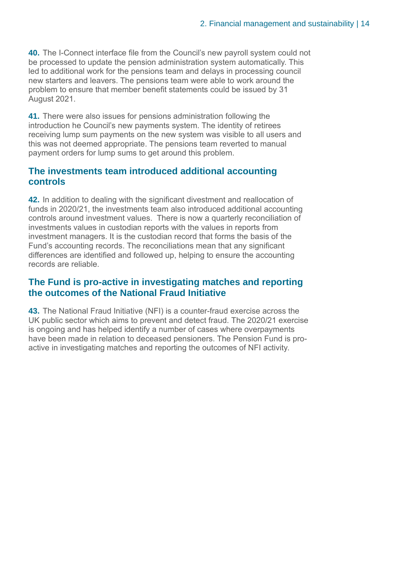**40.** The I-Connect interface file from the Council's new payroll system could not be processed to update the pension administration system automatically. This led to additional work for the pensions team and delays in processing council new starters and leavers. The pensions team were able to work around the problem to ensure that member benefit statements could be issued by 31 August 2021.

**41.** There were also issues for pensions administration following the introduction he Council's new payments system. The identity of retirees receiving lump sum payments on the new system was visible to all users and this was not deemed appropriate. The pensions team reverted to manual payment orders for lump sums to get around this problem.

#### **The investments team introduced additional accounting controls**

**42.** In addition to dealing with the significant divestment and reallocation of funds in 2020/21, the investments team also introduced additional accounting controls around investment values. There is now a quarterly reconciliation of investments values in custodian reports with the values in reports from investment managers. It is the custodian record that forms the basis of the Fund's accounting records. The reconciliations mean that any significant differences are identified and followed up, helping to ensure the accounting records are reliable.

#### **The Fund is pro-active in investigating matches and reporting the outcomes of the National Fraud Initiative**

**43.** The National Fraud Initiative (NFI) is a counter-fraud exercise across the UK public sector which aims to prevent and detect fraud. The 2020/21 exercise is ongoing and has helped identify a number of cases where overpayments have been made in relation to deceased pensioners. The Pension Fund is proactive in investigating matches and reporting the outcomes of NFI activity.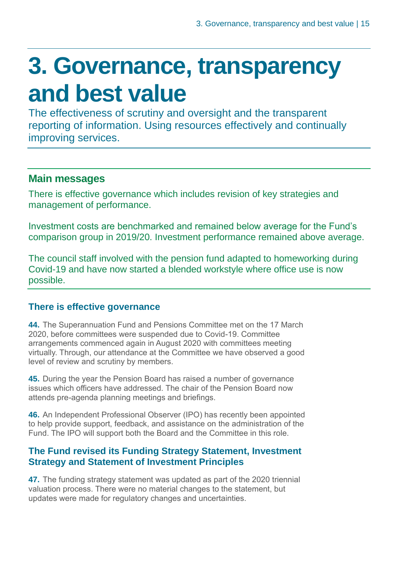### <span id="page-14-0"></span>**3. Governance, transparency and best value**

The effectiveness of scrutiny and oversight and the transparent reporting of information. Using resources effectively and continually improving services.

#### **Main messages**

There is effective governance which includes revision of key strategies and management of performance.

Investment costs are benchmarked and remained below average for the Fund's comparison group in 2019/20. Investment performance remained above average.

The council staff involved with the pension fund adapted to homeworking during Covid-19 and have now started a blended workstyle where office use is now possible.

#### **There is effective governance**

**44.** The Superannuation Fund and Pensions Committee met on the 17 March 2020, before committees were suspended due to Covid-19. Committee arrangements commenced again in August 2020 with committees meeting virtually. Through, our attendance at the Committee we have observed a good level of review and scrutiny by members.

**45.** During the year the Pension Board has raised a number of governance issues which officers have addressed. The chair of the Pension Board now attends pre-agenda planning meetings and briefings.

**46.** An Independent Professional Observer (IPO) has recently been appointed to help provide support, feedback, and assistance on the administration of the Fund. The IPO will support both the Board and the Committee in this role.

#### **The Fund revised its Funding Strategy Statement, Investment Strategy and Statement of Investment Principles**

**47.** The funding strategy statement was updated as part of the 2020 triennial valuation process. There were no material changes to the statement, but updates were made for regulatory changes and uncertainties.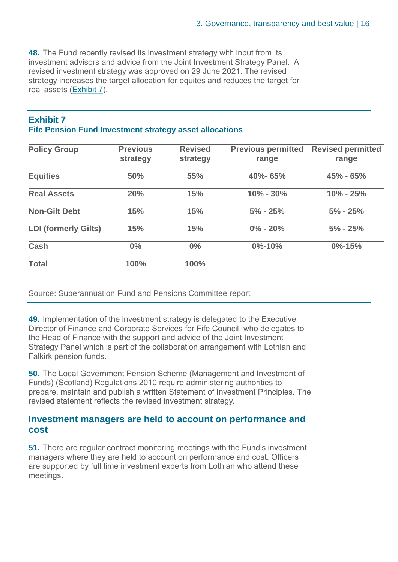**48.** The Fund recently revised its investment strategy with input from its investment advisors and advice from the Joint Investment Strategy Panel. A revised investment strategy was approved on 29 June 2021. The revised strategy increases the target allocation for equites and reduces the target for real assets (Exhibit 7).

#### **Exhibit 7 Fife Pension Fund Investment strategy asset allocations**

| <b>Policy Group</b>         | <b>Previous</b> | <b>Revised</b> | <b>Previous permitted</b> | <b>Revised permitted</b> |
|-----------------------------|-----------------|----------------|---------------------------|--------------------------|
|                             | strategy        | strategy       | range                     | range                    |
| <b>Equities</b>             | 50%             | 55%            | 40%-65%                   | $45% - 65%$              |
| <b>Real Assets</b>          | 20%             | 15%            | $10\% - 30\%$             | $10\% - 25\%$            |
| <b>Non-Gilt Debt</b>        | 15%             | 15%            | $5\% - 25\%$              | $5\% - 25\%$             |
| <b>LDI (formerly Gilts)</b> | 15%             | 15%            | $0\% - 20\%$              | $5\% - 25\%$             |
| <b>Cash</b>                 | 0%              | 0%             | $0\% - 10\%$              | $0\% - 15\%$             |
| <b>Total</b>                | 100%            | 100%           |                           |                          |

Source: Superannuation Fund and Pensions Committee report

**49.** Implementation of the investment strategy is delegated to the Executive Director of Finance and Corporate Services for Fife Council, who delegates to the Head of Finance with the support and advice of the Joint Investment Strategy Panel which is part of the collaboration arrangement with Lothian and Falkirk pension funds.

**50.** The Local Government Pension Scheme (Management and Investment of Funds) (Scotland) Regulations 2010 require administering authorities to prepare, maintain and publish a written Statement of Investment Principles. The revised statement reflects the revised investment strategy.

#### **Investment managers are held to account on performance and cost**

**51.** There are regular contract monitoring meetings with the Fund's investment managers where they are held to account on performance and cost. Officers are supported by full time investment experts from Lothian who attend these meetings.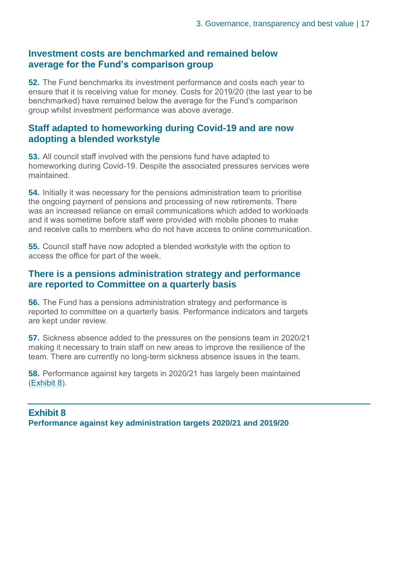#### **Investment costs are benchmarked and remained below average for the Fund's comparison group**

**52.** The Fund benchmarks its investment performance and costs each year to ensure that it is receiving value for money. Costs for 2019/20 (the last year to be benchmarked) have remained below the average for the Fund's comparison group whilst investment performance was above average.

#### **Staff adapted to homeworking during Covid-19 and are now adopting a blended workstyle**

**53.** All council staff involved with the pensions fund have adapted to homeworking during Covid-19. Despite the associated pressures services were maintained.

**54.** Initially it was necessary for the pensions administration team to prioritise the ongoing payment of pensions and processing of new retirements. There was an increased reliance on email communications which added to workloads and it was sometime before staff were provided with mobile phones to make and receive calls to members who do not have access to online communication.

**55.** Council staff have now adopted a blended workstyle with the option to access the office for part of the week.

#### **There is a pensions administration strategy and performance are reported to Committee on a quarterly basis**

**56.** The Fund has a pensions administration strategy and performance is reported to committee on a quarterly basis. Performance indicators and targets are kept under review.

**57.** Sickness absence added to the pressures on the pensions team in 2020/21 making it necessary to train staff on new areas to improve the resilience of the team. There are currently no long-term sickness absence issues in the team.

**58.** Performance against key targets in 2020/21 has largely been maintained (Exhibit 8).

#### **Exhibit 8 Performance against key administration targets 2020/21 and 2019/20**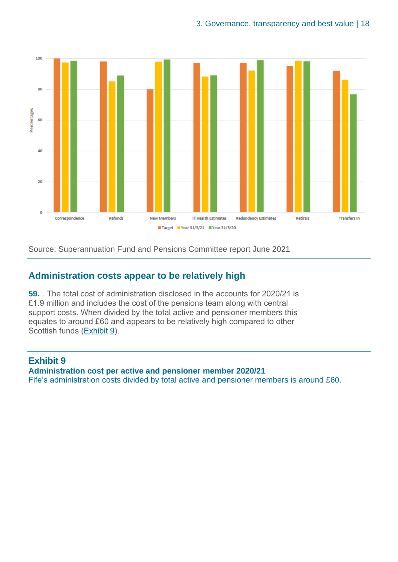

Source: Superannuation Fund and Pensions Committee report June 2021

#### **Administration costs appear to be relatively high**

**59.** . The total cost of administration disclosed in the accounts for 2020/21 is £1.9 million and includes the cost of the pensions team along with central support costs. When divided by the total active and pensioner members this equates to around £60 and appears to be relatively high compared to other Scottish funds (Exhibit 9).

#### **Exhibit 9 Administration cost per active and pensioner member 2020/21** Fife's administration costs divided by total active and pensioner members is around £60.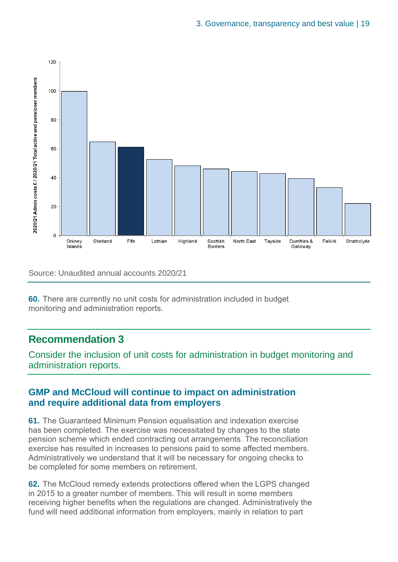

Source: Unaudited annual accounts 2020/21

**60.** There are currently no unit costs for administration included in budget monitoring and administration reports.

#### **Recommendation 3**

Consider the inclusion of unit costs for administration in budget monitoring and administration reports.

#### **GMP and McCloud will continue to impact on administration and require additional data from employers**

**61.** The Guaranteed Minimum Pension equalisation and indexation exercise has been completed. The exercise was necessitated by changes to the state pension scheme which ended contracting out arrangements. The reconciliation exercise has resulted in increases to pensions paid to some affected members. Administratively we understand that it will be necessary for ongoing checks to be completed for some members on retirement.

**62.** The McCloud remedy extends protections offered when the LGPS changed in 2015 to a greater number of members. This will result in some members receiving higher benefits when the regulations are changed. Administratively the fund will need additional information from employers, mainly in relation to part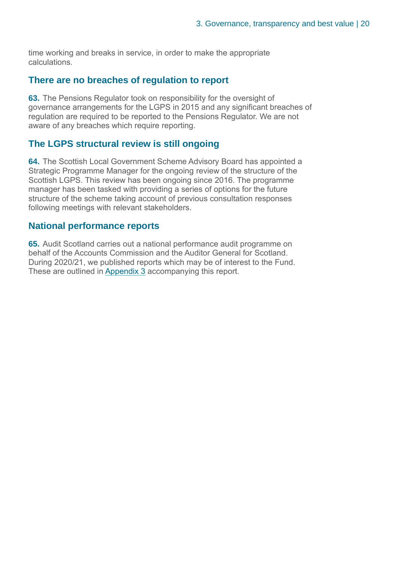time working and breaks in service, in order to make the appropriate calculations.

#### **There are no breaches of regulation to report**

**63.** The Pensions Regulator took on responsibility for the oversight of governance arrangements for the LGPS in 2015 and any significant breaches of regulation are required to be reported to the Pensions Regulator. We are not aware of any breaches which require reporting.

#### **The LGPS structural review is still ongoing**

**64.** The Scottish Local Government Scheme Advisory Board has appointed a Strategic Programme Manager for the ongoing review of the structure of the Scottish LGPS. This review has been ongoing since 2016. The programme manager has been tasked with providing a series of options for the future structure of the scheme taking account of previous consultation responses following meetings with relevant stakeholders.

#### **National performance reports**

**65.** Audit Scotland carries out a national performance audit programme on behalf of the Accounts Commission and the Auditor General for Scotland. During 2020/21, we published reports which may be of interest to the Fund. These are outlined in Appendix 3 accompanying this report.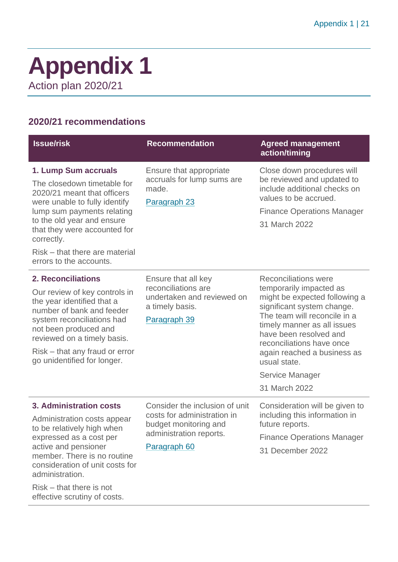### <span id="page-20-0"></span>**Appendix 1** Action plan 2020/21

#### **2020/21 recommendations**

| <b>Issue/risk</b>                                                                                                                                                                                                                                                                          | <b>Recommendation</b>                                                                                                             | <b>Agreed management</b><br>action/timing                                                                                                                                                                                                                                                                                      |
|--------------------------------------------------------------------------------------------------------------------------------------------------------------------------------------------------------------------------------------------------------------------------------------------|-----------------------------------------------------------------------------------------------------------------------------------|--------------------------------------------------------------------------------------------------------------------------------------------------------------------------------------------------------------------------------------------------------------------------------------------------------------------------------|
| 1. Lump Sum accruals<br>The closedown timetable for<br>2020/21 meant that officers<br>were unable to fully identify<br>lump sum payments relating<br>to the old year and ensure<br>that they were accounted for<br>correctly.<br>Risk – that there are material<br>errors to the accounts. | Ensure that appropriate<br>accruals for lump sums are<br>made.<br>Paragraph 23                                                    | Close down procedures will<br>be reviewed and updated to<br>include additional checks on<br>values to be accrued.<br><b>Finance Operations Manager</b><br>31 March 2022                                                                                                                                                        |
| <b>2. Reconciliations</b><br>Our review of key controls in<br>the year identified that a<br>number of bank and feeder<br>system reconciliations had<br>not been produced and<br>reviewed on a timely basis.<br>Risk – that any fraud or error<br>go unidentified for longer.               | Ensure that all key<br>reconciliations are<br>undertaken and reviewed on<br>a timely basis.<br>Paragraph 39                       | <b>Reconciliations were</b><br>temporarily impacted as<br>might be expected following a<br>significant system change.<br>The team will reconcile in a<br>timely manner as all issues<br>have been resolved and<br>reconciliations have once<br>again reached a business as<br>usual state.<br>Service Manager<br>31 March 2022 |
| 3. Administration costs<br>Administration costs appear<br>to be relatively high when<br>expressed as a cost per<br>active and pensioner<br>member. There is no routine<br>consideration of unit costs for<br>administration.<br>$Risk$ – that there is not<br>effective scrutiny of costs. | Consider the inclusion of unit<br>costs for administration in<br>budget monitoring and<br>administration reports.<br>Paragraph 60 | Consideration will be given to<br>including this information in<br>future reports.<br><b>Finance Operations Manager</b><br>31 December 2022                                                                                                                                                                                    |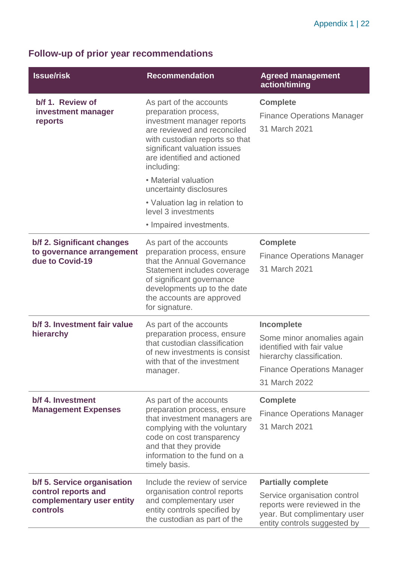### **Follow-up of prior year recommendations**

| <b>Issue/risk</b>                                                                           | <b>Recommendation</b>                                                                                                                                                                                                          | <b>Agreed management</b><br>action/timing                                                                                                                 |
|---------------------------------------------------------------------------------------------|--------------------------------------------------------------------------------------------------------------------------------------------------------------------------------------------------------------------------------|-----------------------------------------------------------------------------------------------------------------------------------------------------------|
| b/f 1. Review of<br>investment manager<br>reports                                           | As part of the accounts<br>preparation process,<br>investment manager reports<br>are reviewed and reconciled<br>with custodian reports so that<br>significant valuation issues<br>are identified and actioned<br>including:    | <b>Complete</b><br><b>Finance Operations Manager</b><br>31 March 2021                                                                                     |
|                                                                                             | • Material valuation<br>uncertainty disclosures<br>• Valuation lag in relation to                                                                                                                                              |                                                                                                                                                           |
|                                                                                             | level 3 investments<br>• Impaired investments.                                                                                                                                                                                 |                                                                                                                                                           |
| b/f 2. Significant changes<br>to governance arrangement<br>due to Covid-19                  | As part of the accounts<br>preparation process, ensure<br>that the Annual Governance<br>Statement includes coverage<br>of significant governance<br>developments up to the date<br>the accounts are approved<br>for signature. | <b>Complete</b><br><b>Finance Operations Manager</b><br>31 March 2021                                                                                     |
| b/f 3. Investment fair value<br>hierarchy                                                   | As part of the accounts<br>preparation process, ensure<br>that custodian classification<br>of new investments is consist<br>with that of the investment<br>manager.                                                            | Incomplete<br>Some minor anomalies again<br>identified with fair value<br>hierarchy classification.<br><b>Finance Operations Manager</b><br>31 March 2022 |
| b/f 4. Investment<br><b>Management Expenses</b>                                             | As part of the accounts<br>preparation process, ensure<br>that investment managers are<br>complying with the voluntary<br>code on cost transparency<br>and that they provide<br>information to the fund on a<br>timely basis.  | <b>Complete</b><br><b>Finance Operations Manager</b><br>31 March 2021                                                                                     |
| b/f 5. Service organisation<br>control reports and<br>complementary user entity<br>controls | Include the review of service<br>organisation control reports<br>and complementary user<br>entity controls specified by<br>the custodian as part of the                                                                        | <b>Partially complete</b><br>Service organisation control<br>reports were reviewed in the<br>year. But complimentary user<br>entity controls suggested by |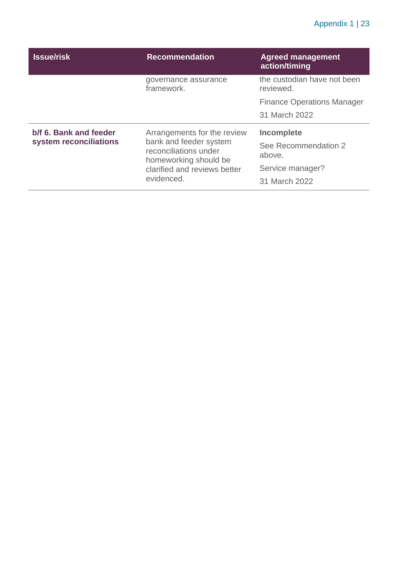#### Appendix 1 | 23

| <b>Issue/risk</b>      | <b>Recommendation</b>                                               | <b>Agreed management</b><br>action/timing |
|------------------------|---------------------------------------------------------------------|-------------------------------------------|
|                        | governance assurance<br>framework.                                  | the custodian have not been<br>reviewed.  |
|                        | <b>Finance Operations Manager</b>                                   |                                           |
|                        |                                                                     | 31 March 2022                             |
|                        |                                                                     |                                           |
| b/f 6. Bank and feeder | Arrangements for the review                                         | Incomplete                                |
| system reconciliations | bank and feeder system<br>reconciliations under                     | See Recommendation 2<br>above.            |
|                        | homeworking should be<br>clarified and reviews better<br>evidenced. | Service manager?                          |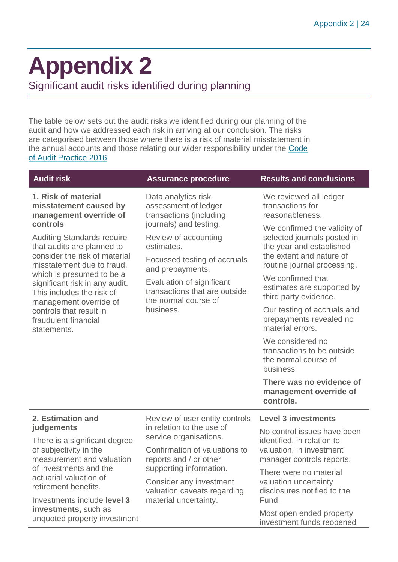# <span id="page-23-0"></span>**Appendix 2**

Significant audit risks identified during planning

The table below sets out the audit risks we identified during our planning of the audit and how we addressed each risk in arriving at our conclusion. The risks are categorised between those where there is a risk of material misstatement in the annual accounts and those relating our wider responsibility under the [Code](http://www.audit-scotland.gov.uk/report/code-of-audit-practice-2016)  [of Audit Practice 2016.](http://www.audit-scotland.gov.uk/report/code-of-audit-practice-2016)

**1. Risk of material misstatement caused by management override of controls**

Auditing Standards require that audits are planned to consider the risk of material misstatement due to fraud, which is presumed to be a significant risk in any audit. This includes the risk of management override of controls that result in fraudulent financial statements.

Data analytics risk assessment of ledger transactions (including journals) and testing.

Review of accounting estimates.

Focussed testing of accruals and prepayments.

Evaluation of significant transactions that are outside the normal course of business.

#### **Audit risk Assurance procedure Results and conclusions**

We reviewed all ledger transactions for reasonableness.

We confirmed the validity of selected journals posted in the year and established the extent and nature of routine journal processing.

We confirmed that estimates are supported by third party evidence.

Our testing of accruals and prepayments revealed no material errors.

We considered no transactions to be outside the normal course of business.

**There was no evidence of management override of controls.** 

#### **2. Estimation and judgements**

There is a significant degree of subjectivity in the measurement and valuation of investments and the actuarial valuation of retirement benefits.

Investments include **level 3 investments,** such as unquoted property investment Review of user entity controls in relation to the use of service organisations.

Confirmation of valuations to reports and / or other supporting information.

Consider any investment valuation caveats regarding material uncertainty.

No control issues have been identified, in relation to valuation, in investment manager controls reports.

**Level 3 investments**

There were no material valuation uncertainty disclosures notified to the Fund.

Most open ended property investment funds reopened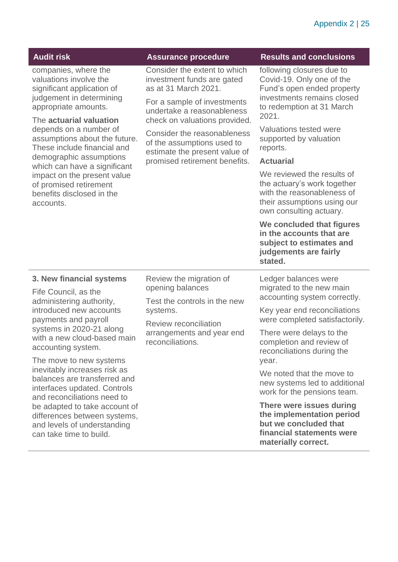| <b>Audit risk</b>                                                                                                                                                                                                                                                                                                                                                                                                   | <b>Assurance procedure</b>                                                                                                                                                                                                                                                                                      | <b>Results and conclusions</b>                                                                                                                                                                                                                                                                                                                                                                                                                             |
|---------------------------------------------------------------------------------------------------------------------------------------------------------------------------------------------------------------------------------------------------------------------------------------------------------------------------------------------------------------------------------------------------------------------|-----------------------------------------------------------------------------------------------------------------------------------------------------------------------------------------------------------------------------------------------------------------------------------------------------------------|------------------------------------------------------------------------------------------------------------------------------------------------------------------------------------------------------------------------------------------------------------------------------------------------------------------------------------------------------------------------------------------------------------------------------------------------------------|
| companies, where the<br>valuations involve the<br>significant application of<br>judgement in determining<br>appropriate amounts.<br>The actuarial valuation<br>depends on a number of<br>assumptions about the future.<br>These include financial and<br>demographic assumptions<br>which can have a significant<br>impact on the present value<br>of promised retirement<br>benefits disclosed in the<br>accounts. | Consider the extent to which<br>investment funds are gated<br>as at 31 March 2021.<br>For a sample of investments<br>undertake a reasonableness<br>check on valuations provided.<br>Consider the reasonableness<br>of the assumptions used to<br>estimate the present value of<br>promised retirement benefits. | following closures due to<br>Covid-19. Only one of the<br>Fund's open ended property<br>investments remains closed<br>to redemption at 31 March<br>2021.<br>Valuations tested were<br>supported by valuation<br>reports.<br><b>Actuarial</b><br>We reviewed the results of<br>the actuary's work together<br>with the reasonableness of<br>their assumptions using our<br>own consulting actuary.<br>We concluded that figures<br>in the accounts that are |
|                                                                                                                                                                                                                                                                                                                                                                                                                     |                                                                                                                                                                                                                                                                                                                 | subject to estimates and<br>judgements are fairly<br>stated.                                                                                                                                                                                                                                                                                                                                                                                               |
| 3. New financial systems<br>Fife Council, as the<br>administering authority,<br>introduced new accounts<br>payments and payroll<br>systems in 2020-21 along<br>with a new cloud-based main                                                                                                                                                                                                                          | Review the migration of<br>opening balances<br>Test the controls in the new<br>systems.<br>Review reconciliation<br>arrangements and year end<br>reconciliations.                                                                                                                                               | Ledger balances were<br>migrated to the new main<br>accounting system correctly.<br>Key year end reconciliations<br>were completed satisfactorily.<br>There were delays to the<br>completion and review of                                                                                                                                                                                                                                                 |
| accounting system.<br>The move to new systems<br>inevitably increases risk as<br>balances are transferred and<br>interfaces updated. Controls<br>and reconciliations need to<br>be adapted to take account of<br>differences between systems,<br>and levels of understanding<br>can take time to build.                                                                                                             |                                                                                                                                                                                                                                                                                                                 | reconciliations during the<br>year.<br>We noted that the move to<br>new systems led to additional<br>work for the pensions team.<br>There were issues during<br>the implementation period<br>but we concluded that<br>financial statements were<br>materially correct.                                                                                                                                                                                     |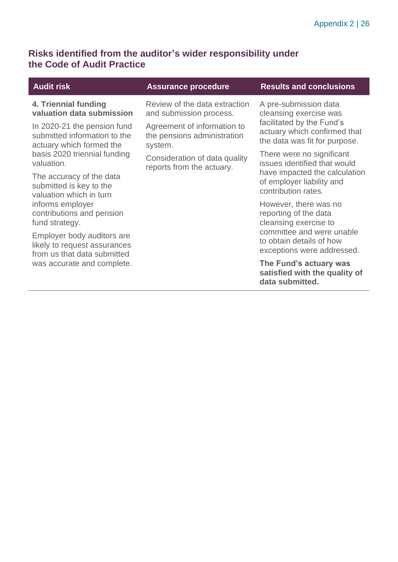#### **Risks identified from the auditor's wider responsibility under the Code of Audit Practice**

I

| <b>Audit risk</b>                                                                         | <b>Assurance procedure</b>                                            | <b>Results and conclusions</b>                                                             |
|-------------------------------------------------------------------------------------------|-----------------------------------------------------------------------|--------------------------------------------------------------------------------------------|
| 4. Triennial funding<br>valuation data submission                                         | Review of the data extraction<br>and submission process.              | A pre-submission data<br>cleansing exercise was                                            |
| In 2020-21 the pension fund<br>submitted information to the<br>actuary which formed the   | Agreement of information to<br>the pensions administration<br>system. | facilitated by the Fund's<br>actuary which confirmed that<br>the data was fit for purpose. |
| basis 2020 triennial funding<br>valuation.                                                | Consideration of data quality<br>reports from the actuary.            | There were no significant<br>issues identified that would                                  |
| The accuracy of the data<br>submitted is key to the<br>valuation which in turn            |                                                                       | have impacted the calculation<br>of employer liability and<br>contribution rates.          |
| informs employer<br>contributions and pension<br>fund strategy.                           |                                                                       | However, there was no<br>reporting of the data<br>cleansing exercise to                    |
| Employer body auditors are<br>likely to request assurances<br>from us that data submitted |                                                                       | committee and were unable<br>to obtain details of how<br>exceptions were addressed.        |
| was accurate and complete.                                                                |                                                                       | The Fund's actuary was<br>satisfied with the quality of<br>data submitted.                 |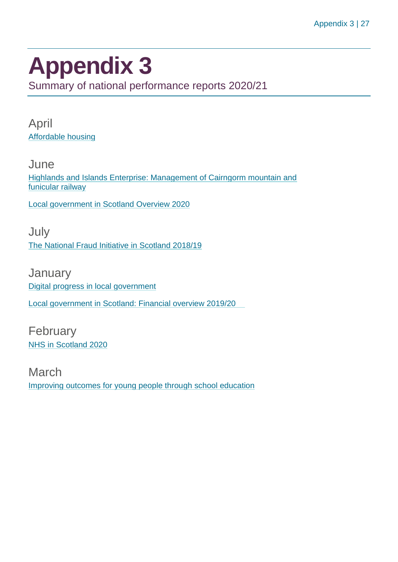## <span id="page-26-0"></span>**Appendix 3**

Summary of national performance reports 2020/21

April [Affordable housing](https://www.audit-scotland.gov.uk/report/affordable-housing)

**June** [Highlands and Islands Enterprise: Management of Cairngorm mountain and](https://www.audit-scotland.gov.uk/report/highlands-and-islands-enterprise-management-of-cairngorm-mountain-and-funicular-railway)  [funicular railway](https://www.audit-scotland.gov.uk/report/highlands-and-islands-enterprise-management-of-cairngorm-mountain-and-funicular-railway)

[Local government in Scotland Overview 2020](https://www.audit-scotland.gov.uk/report/local-government-in-scotland-overview-2020)

July [The National Fraud Initiative in Scotland 2018/19](https://www.audit-scotland.gov.uk/report/the-national-fraud-initiative-in-scotland-201819)

**January** [Digital progress in local government](https://www.audit-scotland.gov.uk/report/digital-progress-in-local-government) [Local government in Scotland: Financial overview 2019/20](https://www.audit-scotland.gov.uk/report/local-government-in-scotland-financial-overview-201920)

February [NHS in Scotland 2020](https://www.audit-scotland.gov.uk/report/nhs-in-scotland-2020)

March [Improving outcomes for young people through school education](https://www.audit-scotland.gov.uk/report/improving-outcomes-for-young-people-through-school-education)